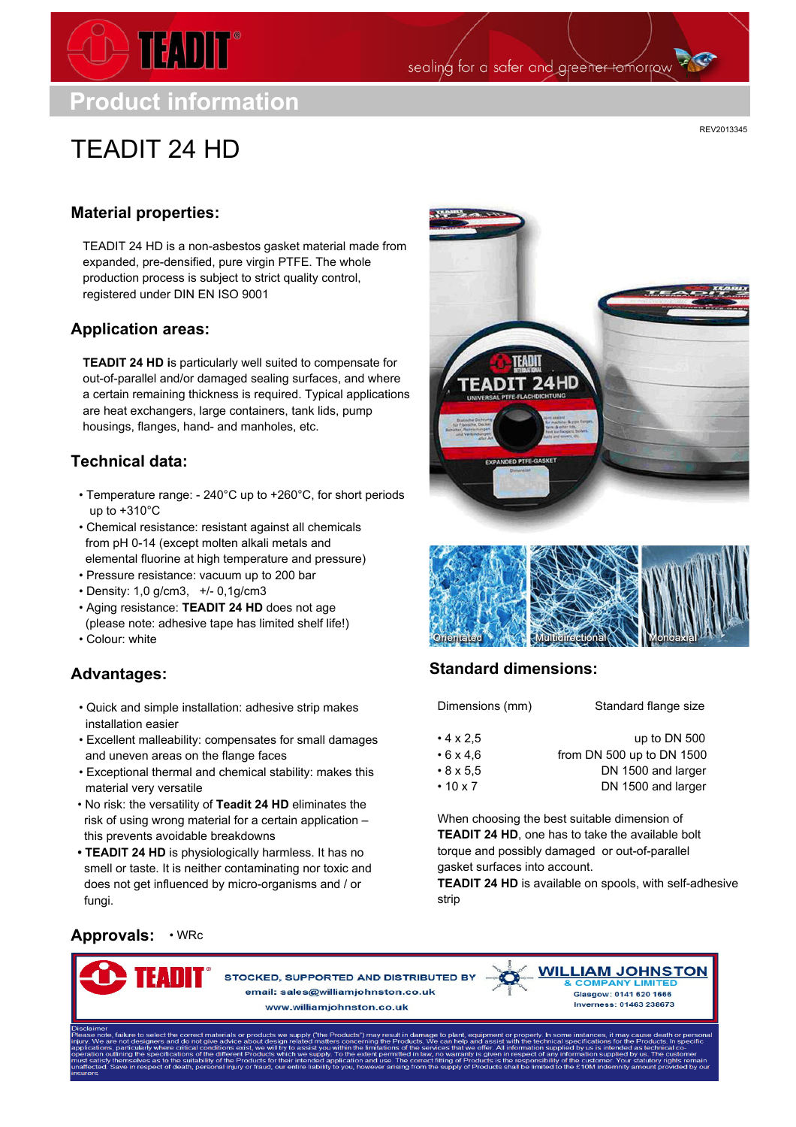

**Product information**

# TEADIT 24 HD

REV2013345

## **Material properties:**

TEADIT 24 HD is a non-asbestos gasket material made from expanded, pre-densified, pure virgin PTFE. The whole production process is subject to strict quality control, registered under DIN EN ISO 9001

### **Application areas:**

**TEADIT 24 HD i**s particularly well suited to compensate for out-of-parallel and/or damaged sealing surfaces, and where a certain remaining thickness is required. Typical applications are heat exchangers, large containers, tank lids, pump housings, flanges, hand- and manholes, etc.

## **Technical data:**

- Temperature range: 240°C up to +260°C, for short periods up to  $+310^{\circ}$ C
- Chemical resistance: resistant against all chemicals from pH 0-14 (except molten alkali metals and elemental fluorine at high temperature and pressure)
- Pressure resistance: vacuum up to 200 bar
- Density: 1,0 g/cm3, +/- 0,1g/cm3
- Aging resistance: **TEADIT 24 HD** does not age (please note: adhesive tape has limited shelf life!)
- Colour: white

## **Advantages:**

- Quick and simple installation: adhesive strip makes installation easier
- Excellent malleability: compensates for small damages and uneven areas on the flange faces
- Exceptional thermal and chemical stability: makes this material very versatile
- No risk: the versatility of **Teadit 24 HD** eliminates the risk of using wrong material for a certain application – this prevents avoidable breakdowns
- **• TEADIT 24 HD** is physiologically harmless. It has no smell or taste. It is neither contaminating nor toxic and does not get influenced by micro-organisms and / or fungi.







sealing for a safer and greener tomorrow



## **Standard dimensions:**

| Dimensions (mm)      | Standard flange size      |  |  |  |  |
|----------------------|---------------------------|--|--|--|--|
| $\cdot$ 4 x 2.5      | up to DN 500              |  |  |  |  |
| $\cdot$ 6 x 4.6      | from DN 500 up to DN 1500 |  |  |  |  |
| $\cdot 8 \times 5,5$ | DN 1500 and larger        |  |  |  |  |
| $\cdot$ 10 x 7       | DN 1500 and larger        |  |  |  |  |

When choosing the best suitable dimension of **TEADIT 24 HD**, one has to take the available bolt torque and possibly damaged or out-of-parallel gasket surfaces into account.

**TEADIT 24 HD** is available on spools, with self-adhesive strip